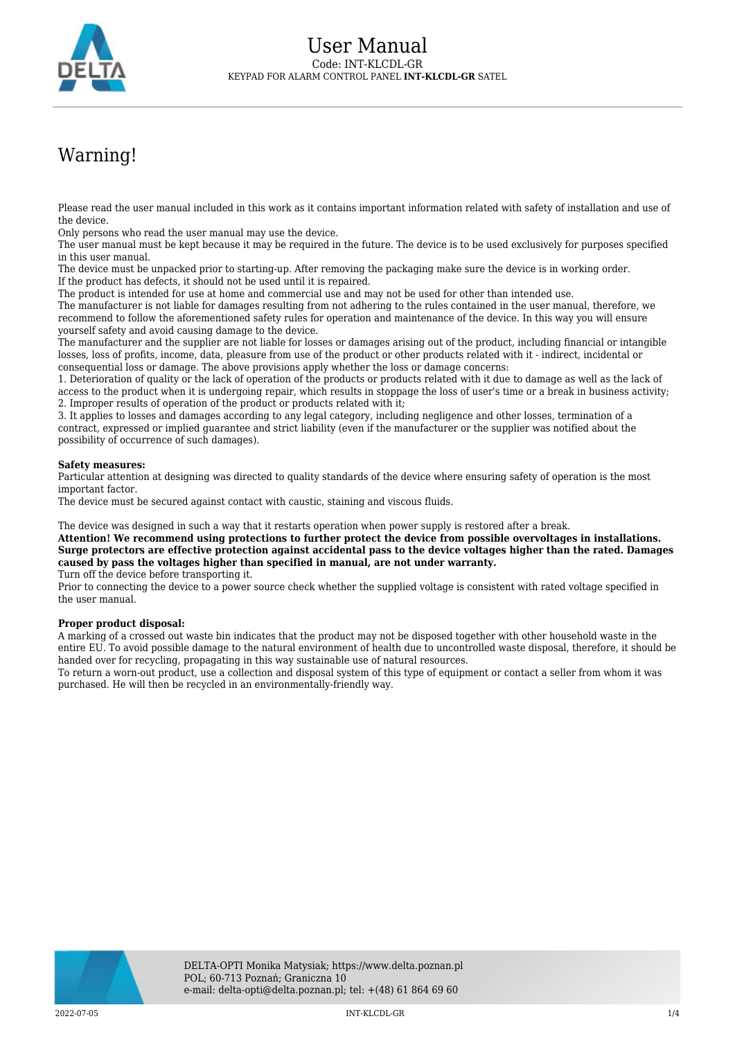

## Warning!

Please read the user manual included in this work as it contains important information related with safety of installation and use of the device.

Only persons who read the user manual may use the device.

The user manual must be kept because it may be required in the future. The device is to be used exclusively for purposes specified in this user manual.

The device must be unpacked prior to starting-up. After removing the packaging make sure the device is in working order. If the product has defects, it should not be used until it is repaired.

The product is intended for use at home and commercial use and may not be used for other than intended use.

The manufacturer is not liable for damages resulting from not adhering to the rules contained in the user manual, therefore, we recommend to follow the aforementioned safety rules for operation and maintenance of the device. In this way you will ensure yourself safety and avoid causing damage to the device.

The manufacturer and the supplier are not liable for losses or damages arising out of the product, including financial or intangible losses, loss of profits, income, data, pleasure from use of the product or other products related with it - indirect, incidental or consequential loss or damage. The above provisions apply whether the loss or damage concerns:

1. Deterioration of quality or the lack of operation of the products or products related with it due to damage as well as the lack of access to the product when it is undergoing repair, which results in stoppage the loss of user's time or a break in business activity; 2. Improper results of operation of the product or products related with it;

3. It applies to losses and damages according to any legal category, including negligence and other losses, termination of a contract, expressed or implied guarantee and strict liability (even if the manufacturer or the supplier was notified about the possibility of occurrence of such damages).

## **Safety measures:**

Particular attention at designing was directed to quality standards of the device where ensuring safety of operation is the most important factor.

The device must be secured against contact with caustic, staining and viscous fluids.

The device was designed in such a way that it restarts operation when power supply is restored after a break.

**Attention! We recommend using protections to further protect the device from possible overvoltages in installations. Surge protectors are effective protection against accidental pass to the device voltages higher than the rated. Damages caused by pass the voltages higher than specified in manual, are not under warranty.**

Turn off the device before transporting it.

Prior to connecting the device to a power source check whether the supplied voltage is consistent with rated voltage specified in the user manual.

## **Proper product disposal:**

A marking of a crossed out waste bin indicates that the product may not be disposed together with other household waste in the entire EU. To avoid possible damage to the natural environment of health due to uncontrolled waste disposal, therefore, it should be handed over for recycling, propagating in this way sustainable use of natural resources.

To return a worn-out product, use a collection and disposal system of this type of equipment or contact a seller from whom it was purchased. He will then be recycled in an environmentally-friendly way.

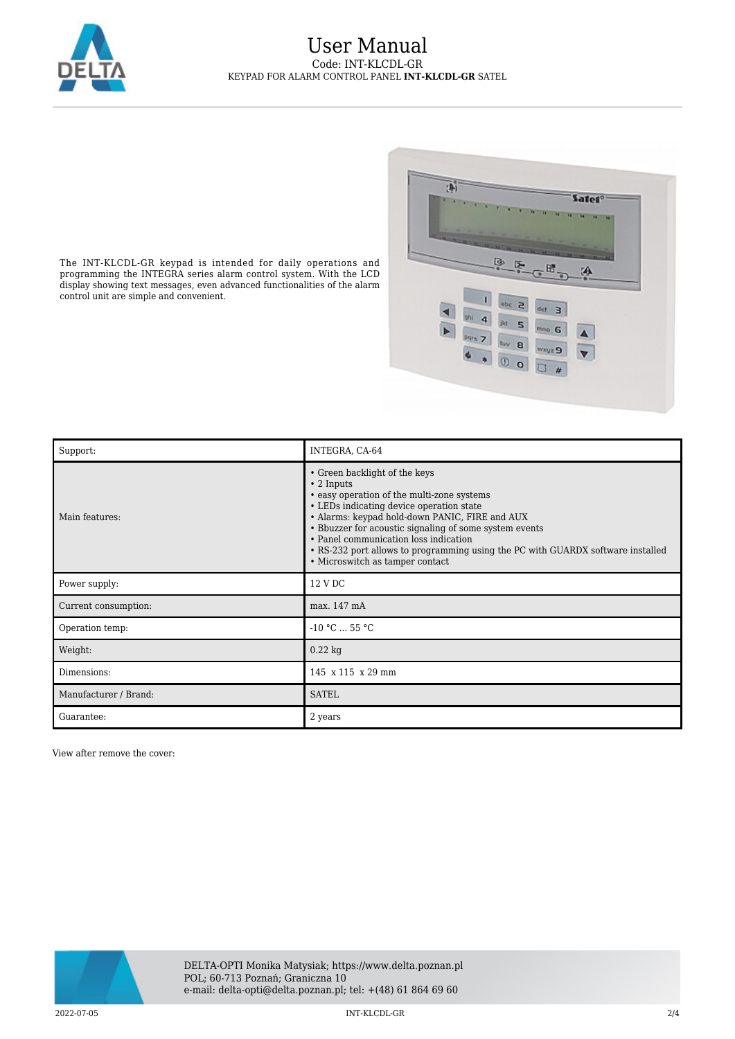

## User Manual Code: INT-KLCDL-GR KEYPAD FOR ALARM CONTROL PANEL **INT-KLCDL-GR** SATEL



The INT-KLCDL-GR keypad is intended for daily operations and programming the INTEGRA series alarm control system. With the LCD display showing text messages, even advanced functionalities of the alarm control unit are simple and convenient.

| Support:              | INTEGRA, CA-64                                                                                                                                                                                                                                                                                                                                                                                                         |
|-----------------------|------------------------------------------------------------------------------------------------------------------------------------------------------------------------------------------------------------------------------------------------------------------------------------------------------------------------------------------------------------------------------------------------------------------------|
| Main features:        | • Green backlight of the keys<br>$\cdot$ 2 Inputs<br>• easy operation of the multi-zone systems<br>• LEDs indicating device operation state<br>• Alarms: keypad hold-down PANIC, FIRE and AUX<br>• Bbuzzer for acoustic signaling of some system events<br>• Panel communication loss indication<br>• RS-232 port allows to programming using the PC with GUARDX software installed<br>• Microswitch as tamper contact |
| Power supply:         | 12 V DC                                                                                                                                                                                                                                                                                                                                                                                                                |
| Current consumption:  | max. 147 mA                                                                                                                                                                                                                                                                                                                                                                                                            |
| Operation temp:       | $-10 °C  55 °C$                                                                                                                                                                                                                                                                                                                                                                                                        |
| Weight:               | $0.22$ kg                                                                                                                                                                                                                                                                                                                                                                                                              |
| Dimensions:           | 145 x 115 x 29 mm                                                                                                                                                                                                                                                                                                                                                                                                      |
| Manufacturer / Brand: | <b>SATEL</b>                                                                                                                                                                                                                                                                                                                                                                                                           |
| Guarantee:            | 2 years                                                                                                                                                                                                                                                                                                                                                                                                                |

View after remove the cover:



2022-07-05 INT-KLCDL-GR 2/4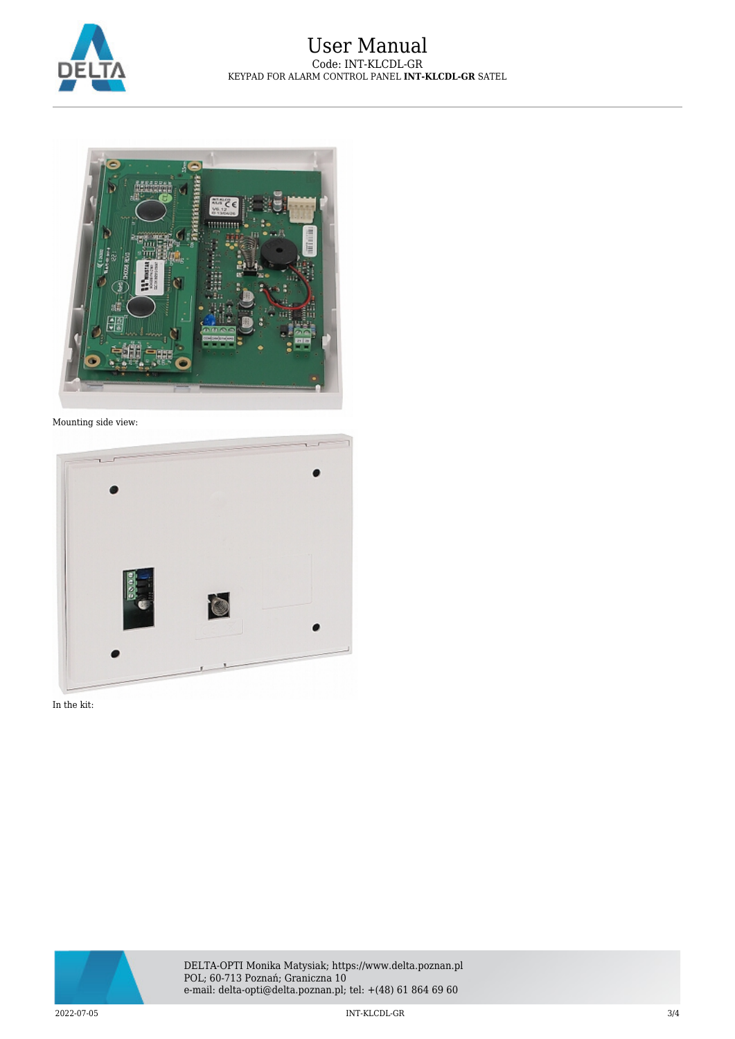



Mounting side view:



In the kit: